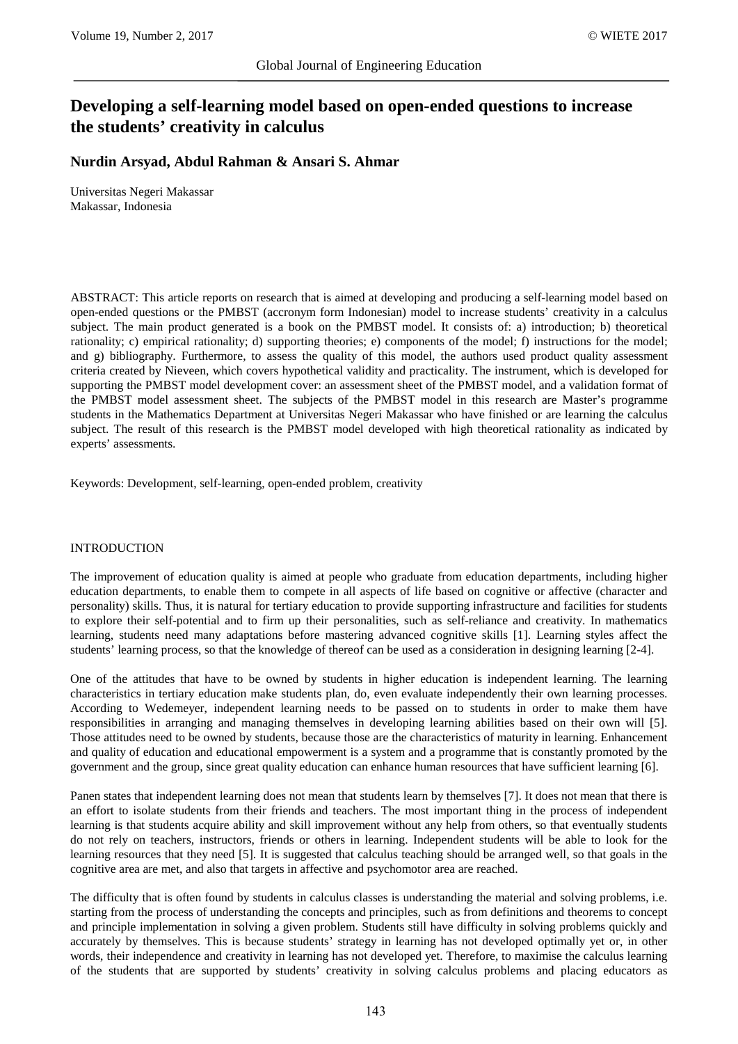# **Developing a self-learning model based on open-ended questions to increase the students' creativity in calculus**

**Nurdin Arsyad, Abdul Rahman & Ansari S. Ahmar**

Universitas Negeri Makassar Makassar, Indonesia

ABSTRACT: This article reports on research that is aimed at developing and producing a self-learning model based on open-ended questions or the PMBST (accronym form Indonesian) model to increase students' creativity in a calculus subject. The main product generated is a book on the PMBST model. It consists of: a) introduction; b) theoretical rationality; c) empirical rationality; d) supporting theories; e) components of the model; f) instructions for the model; and g) bibliography. Furthermore, to assess the quality of this model, the authors used product quality assessment criteria created by Nieveen, which covers hypothetical validity and practicality. The instrument, which is developed for supporting the PMBST model development cover: an assessment sheet of the PMBST model, and a validation format of the PMBST model assessment sheet. The subjects of the PMBST model in this research are Master's programme students in the Mathematics Department at Universitas Negeri Makassar who have finished or are learning the calculus subject. The result of this research is the PMBST model developed with high theoretical rationality as indicated by experts' assessments.

Keywords: Development, self-learning, open-ended problem, creativity

#### INTRODUCTION

The improvement of education quality is aimed at people who graduate from education departments, including higher education departments, to enable them to compete in all aspects of life based on cognitive or affective (character and personality) skills. Thus, it is natural for tertiary education to provide supporting infrastructure and facilities for students to explore their self-potential and to firm up their personalities, such as self-reliance and creativity. In mathematics learning, students need many adaptations before mastering advanced cognitive skills [1]. Learning styles affect the students' learning process, so that the knowledge of thereof can be used as a consideration in designing learning [2-4].

One of the attitudes that have to be owned by students in higher education is independent learning. The learning characteristics in tertiary education make students plan, do, even evaluate independently their own learning processes. According to Wedemeyer, independent learning needs to be passed on to students in order to make them have responsibilities in arranging and managing themselves in developing learning abilities based on their own will [5]. Those attitudes need to be owned by students, because those are the characteristics of maturity in learning. Enhancement and quality of education and educational empowerment is a system and a programme that is constantly promoted by the government and the group, since great quality education can enhance human resources that have sufficient learning [6].

Panen states that independent learning does not mean that students learn by themselves [7]. It does not mean that there is an effort to isolate students from their friends and teachers. The most important thing in the process of independent learning is that students acquire ability and skill improvement without any help from others, so that eventually students do not rely on teachers, instructors, friends or others in learning. Independent students will be able to look for the learning resources that they need [5]. It is suggested that calculus teaching should be arranged well, so that goals in the cognitive area are met, and also that targets in affective and psychomotor area are reached.

The difficulty that is often found by students in calculus classes is understanding the material and solving problems, i.e. starting from the process of understanding the concepts and principles, such as from definitions and theorems to concept and principle implementation in solving a given problem. Students still have difficulty in solving problems quickly and accurately by themselves. This is because students' strategy in learning has not developed optimally yet or, in other words, their independence and creativity in learning has not developed yet. Therefore, to maximise the calculus learning of the students that are supported by students' creativity in solving calculus problems and placing educators as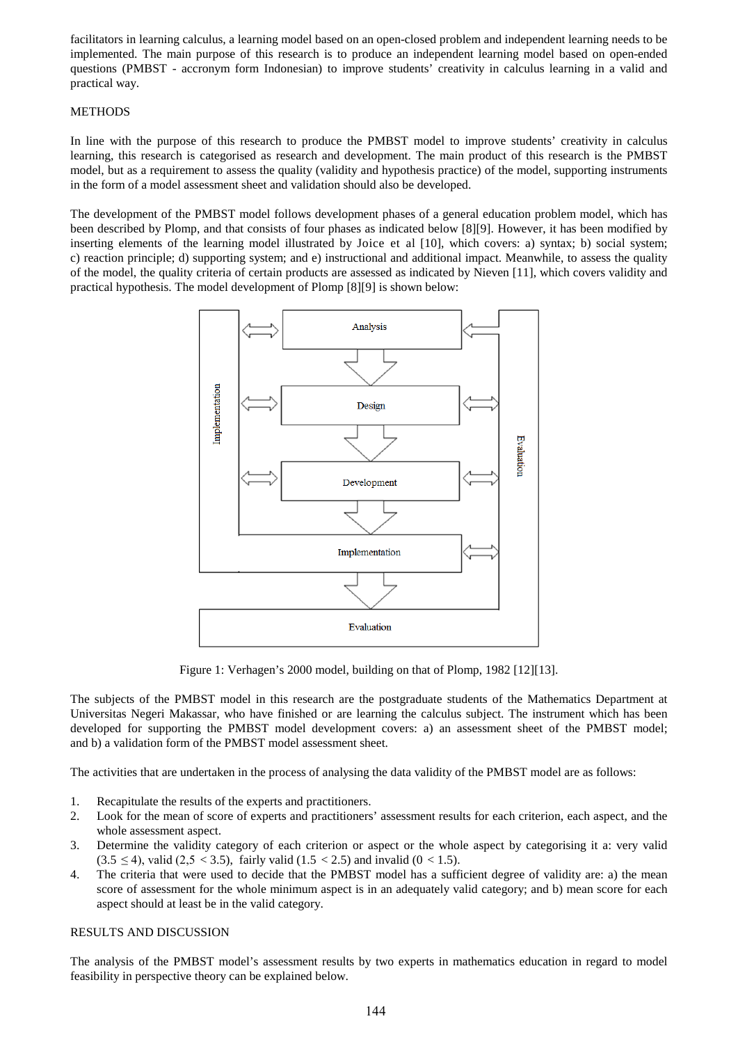facilitators in learning calculus, a learning model based on an open-closed problem and independent learning needs to be implemented. The main purpose of this research is to produce an independent learning model based on open-ended questions (PMBST - accronym form Indonesian) to improve students' creativity in calculus learning in a valid and practical way.

# **METHODS**

In line with the purpose of this research to produce the PMBST model to improve students' creativity in calculus learning, this research is categorised as research and development. The main product of this research is the PMBST model, but as a requirement to assess the quality (validity and hypothesis practice) of the model, supporting instruments in the form of a model assessment sheet and validation should also be developed.

The development of the PMBST model follows development phases of a general education problem model, which has been described by Plomp, and that consists of four phases as indicated below [8][9]. However, it has been modified by inserting elements of the learning model illustrated by Joice et al [10], which covers: a) syntax; b) social system; c) reaction principle; d) supporting system; and e) instructional and additional impact. Meanwhile, to assess the quality of the model, the quality criteria of certain products are assessed as indicated by Nieven [11], which covers validity and practical hypothesis. The model development of Plomp [8][9] is shown below:



Figure 1: Verhagen's 2000 model, building on that of Plomp, 1982 [12][13].

The subjects of the PMBST model in this research are the postgraduate students of the Mathematics Department at Universitas Negeri Makassar, who have finished or are learning the calculus subject. The instrument which has been developed for supporting the PMBST model development covers: a) an assessment sheet of the PMBST model; and b) a validation form of the PMBST model assessment sheet.

The activities that are undertaken in the process of analysing the data validity of the PMBST model are as follows:

- 1. Recapitulate the results of the experts and practitioners.
- 2. Look for the mean of score of experts and practitioners' assessment results for each criterion, each aspect, and the whole assessment aspect.
- 3. Determine the validity category of each criterion or aspect or the whole aspect by categorising it a: very valid  $(3.5 \le 4)$ , valid  $(2.5 < 3.5)$ , fairly valid  $(1.5 < 2.5)$  and invalid  $(0 < 1.5)$ .
- 4. The criteria that were used to decide that the PMBST model has a sufficient degree of validity are: a) the mean score of assessment for the whole minimum aspect is in an adequately valid category; and b) mean score for each aspect should at least be in the valid category.

## RESULTS AND DISCUSSION

The analysis of the PMBST model's assessment results by two experts in mathematics education in regard to model feasibility in perspective theory can be explained below.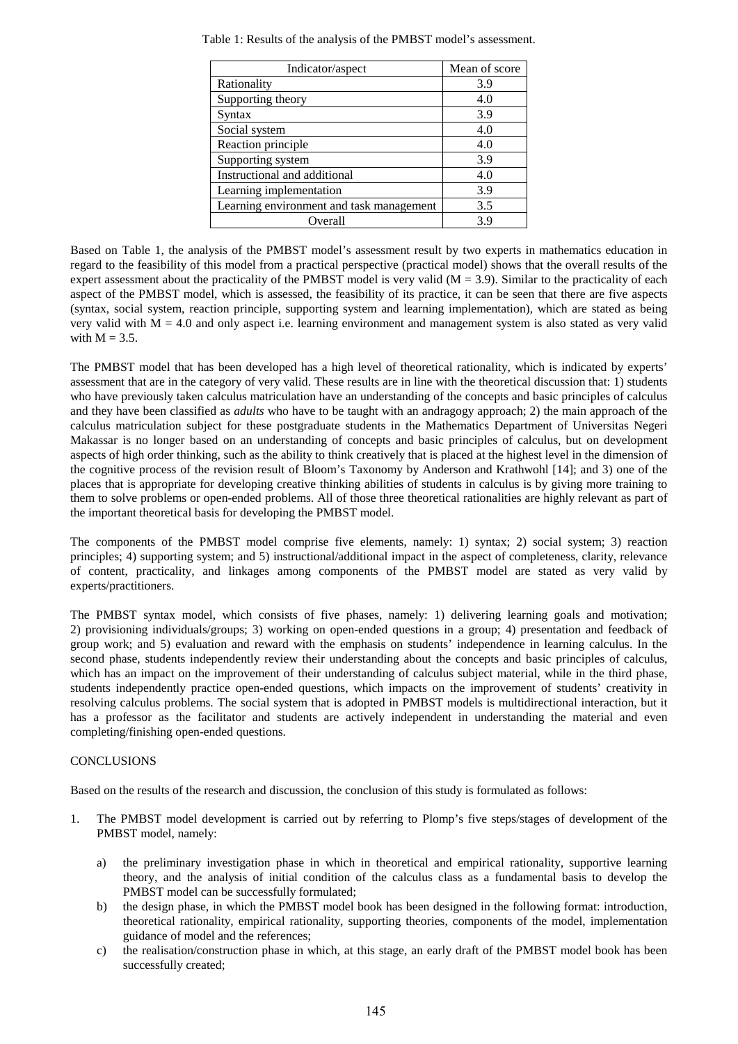| Indicator/aspect                         | Mean of score |
|------------------------------------------|---------------|
| Rationality                              | 3.9           |
| Supporting theory                        | 4.0           |
| Syntax                                   | 3.9           |
| Social system                            | 4.0           |
| Reaction principle                       | 4.0           |
| Supporting system                        | 3.9           |
| Instructional and additional             | 4.0           |
| Learning implementation                  | 3.9           |
| Learning environment and task management | 3.5           |
| Overall                                  | 3.9           |

Table 1: Results of the analysis of the PMBST model's assessment.

Based on Table 1, the analysis of the PMBST model's assessment result by two experts in mathematics education in regard to the feasibility of this model from a practical perspective (practical model) shows that the overall results of the expert assessment about the practicality of the PMBST model is very valid  $(M = 3.9)$ . Similar to the practicality of each aspect of the PMBST model, which is assessed, the feasibility of its practice, it can be seen that there are five aspects (syntax, social system, reaction principle, supporting system and learning implementation), which are stated as being very valid with  $M = 4.0$  and only aspect i.e. learning environment and management system is also stated as very valid with  $M = 3.5$ .

The PMBST model that has been developed has a high level of theoretical rationality, which is indicated by experts' assessment that are in the category of very valid. These results are in line with the theoretical discussion that: 1) students who have previously taken calculus matriculation have an understanding of the concepts and basic principles of calculus and they have been classified as *adults* who have to be taught with an andragogy approach; 2) the main approach of the calculus matriculation subject for these postgraduate students in the Mathematics Department of Universitas Negeri Makassar is no longer based on an understanding of concepts and basic principles of calculus, but on development aspects of high order thinking, such as the ability to think creatively that is placed at the highest level in the dimension of the cognitive process of the revision result of Bloom's Taxonomy by Anderson and Krathwohl [14]; and 3) one of the places that is appropriate for developing creative thinking abilities of students in calculus is by giving more training to them to solve problems or open-ended problems. All of those three theoretical rationalities are highly relevant as part of the important theoretical basis for developing the PMBST model.

The components of the PMBST model comprise five elements, namely: 1) syntax; 2) social system; 3) reaction principles; 4) supporting system; and 5) instructional/additional impact in the aspect of completeness, clarity, relevance of content, practicality, and linkages among components of the PMBST model are stated as very valid by experts/practitioners.

The PMBST syntax model, which consists of five phases, namely: 1) delivering learning goals and motivation; 2) provisioning individuals/groups; 3) working on open-ended questions in a group; 4) presentation and feedback of group work; and 5) evaluation and reward with the emphasis on students' independence in learning calculus. In the second phase, students independently review their understanding about the concepts and basic principles of calculus, which has an impact on the improvement of their understanding of calculus subject material, while in the third phase, students independently practice open-ended questions, which impacts on the improvement of students' creativity in resolving calculus problems. The social system that is adopted in PMBST models is multidirectional interaction, but it has a professor as the facilitator and students are actively independent in understanding the material and even completing/finishing open-ended questions.

## CONCLUSIONS

Based on the results of the research and discussion, the conclusion of this study is formulated as follows:

- 1. The PMBST model development is carried out by referring to Plomp's five steps/stages of development of the PMBST model, namely:
	- a) the preliminary investigation phase in which in theoretical and empirical rationality, supportive learning theory, and the analysis of initial condition of the calculus class as a fundamental basis to develop the PMBST model can be successfully formulated;
	- b) the design phase, in which the PMBST model book has been designed in the following format: introduction, theoretical rationality, empirical rationality, supporting theories, components of the model, implementation guidance of model and the references;
	- c) the realisation/construction phase in which, at this stage, an early draft of the PMBST model book has been successfully created;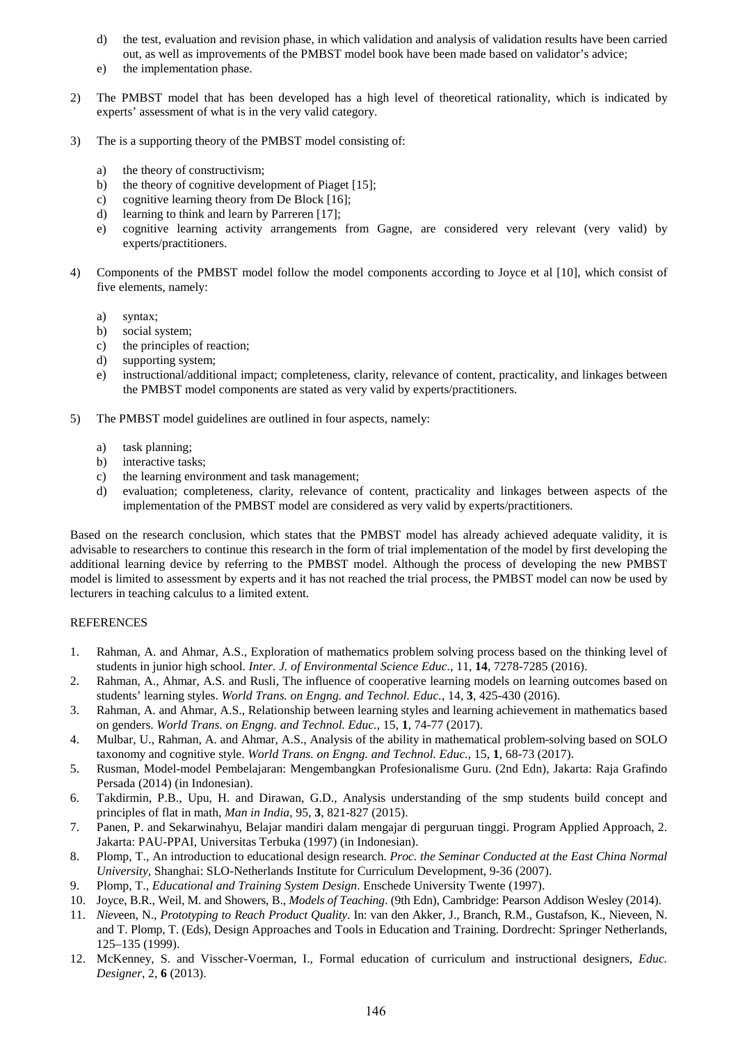- d) the test, evaluation and revision phase, in which validation and analysis of validation results have been carried out, as well as improvements of the PMBST model book have been made based on validator's advice;
- e) the implementation phase.
- 2) The PMBST model that has been developed has a high level of theoretical rationality, which is indicated by experts' assessment of what is in the very valid category.
- 3) The is a supporting theory of the PMBST model consisting of:
	- a) the theory of constructivism;
	- b) the theory of cognitive development of Piaget [15];
	- c) cognitive learning theory from De Block [16];
	- d) learning to think and learn by Parreren [17];
	- e) cognitive learning activity arrangements from Gagne, are considered very relevant (very valid) by experts/practitioners.
- 4) Components of the PMBST model follow the model components according to Joyce et al [10], which consist of five elements, namely:
	- a) syntax;
	- b) social system;
	- c) the principles of reaction;
	- d) supporting system;
	- e) instructional/additional impact; completeness, clarity, relevance of content, practicality, and linkages between the PMBST model components are stated as very valid by experts/practitioners.
- 5) The PMBST model guidelines are outlined in four aspects, namely:
	- a) task planning;
	- b) interactive tasks;
	- c) the learning environment and task management;
	- d) evaluation; completeness, clarity, relevance of content, practicality and linkages between aspects of the implementation of the PMBST model are considered as very valid by experts/practitioners.

Based on the research conclusion, which states that the PMBST model has already achieved adequate validity, it is advisable to researchers to continue this research in the form of trial implementation of the model by first developing the additional learning device by referring to the PMBST model. Although the process of developing the new PMBST model is limited to assessment by experts and it has not reached the trial process, the PMBST model can now be used by lecturers in teaching calculus to a limited extent.

## REFERENCES

- 1. Rahman, A. and Ahmar, A.S., Exploration of mathematics problem solving process based on the thinking level of students in junior high school. *Inter. J. of Environmental Science Educ.*, 11, **14**, 7278-7285 (2016).
- 2. Rahman, A., Ahmar, A.S. and Rusli, The influence of cooperative learning models on learning outcomes based on students' learning styles. *World Trans. on Engng. and Technol. Educ.*, 14, **3**, 425-430 (2016).
- 3. Rahman, A. and Ahmar, A.S., Relationship between learning styles and learning achievement in mathematics based on genders. *World Trans. on Engng. and Technol. Educ.*, 15, **1**, 74-77 (2017).
- 4. Mulbar, U., Rahman, A. and Ahmar, A.S., Analysis of the ability in mathematical problem-solving based on SOLO taxonomy and cognitive style. *World Trans. on Engng. and Technol. Educ.*, 15, **1**, 68-73 (2017).
- 5. Rusman, Model-model Pembelajaran: Mengembangkan Profesionalisme Guru. (2nd Edn), Jakarta: Raja Grafindo Persada (2014) (in Indonesian).
- 6. Takdirmin, P.B., Upu, H. and Dirawan, G.D., Analysis understanding of the smp students build concept and principles of flat in math, *Man in India*, 95, **3**, 821-827 (2015).
- 7. Panen, P. and Sekarwinahyu, Belajar mandiri dalam mengajar di perguruan tinggi. Program Applied Approach, 2. Jakarta: PAU-PPAI, Universitas Terbuka (1997) (in Indonesian).
- 8. Plomp, T., An introduction to educational design research. *Proc. the Seminar Conducted at the East China Normal University,* Shanghai: SLO-Netherlands Institute for Curriculum Development, 9-36 (2007).
- 9. Plomp, T., *Educational and Training System Design*. Enschede University Twente (1997).
- 10. Joyce, B.R., Weil, M. and Showers, B., *Models of Teaching*. (9th Edn), Cambridge: Pearson Addison Wesley (2014).
- 11. *Niev*een, N., *Prototyping to Reach Product Quality*. In: van den Akker, J., Branch, R.M., Gustafson, K., Nieveen, N. and T. Plomp, T. (Eds), Design Approaches and Tools in Education and Training. Dordrecht: Springer Netherlands, 125–135 (1999).
- 12. McKenney, S. and Visscher-Voerman, I., Formal education of curriculum and instructional designers, *Educ. Designer*, 2, **6** (2013).